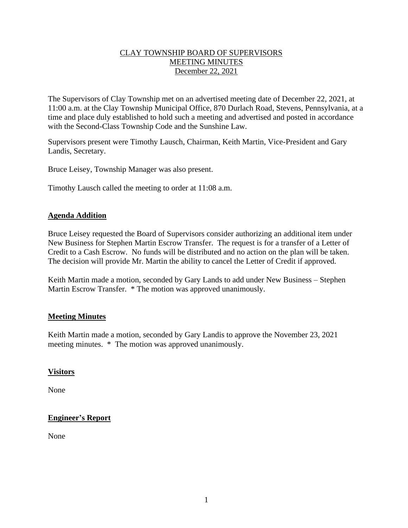### CLAY TOWNSHIP BOARD OF SUPERVISORS MEETING MINUTES December 22, 2021

The Supervisors of Clay Township met on an advertised meeting date of December 22, 2021, at 11:00 a.m. at the Clay Township Municipal Office, 870 Durlach Road, Stevens, Pennsylvania, at a time and place duly established to hold such a meeting and advertised and posted in accordance with the Second-Class Township Code and the Sunshine Law.

Supervisors present were Timothy Lausch, Chairman, Keith Martin, Vice-President and Gary Landis, Secretary.

Bruce Leisey, Township Manager was also present.

Timothy Lausch called the meeting to order at 11:08 a.m.

#### **Agenda Addition**

Bruce Leisey requested the Board of Supervisors consider authorizing an additional item under New Business for Stephen Martin Escrow Transfer. The request is for a transfer of a Letter of Credit to a Cash Escrow. No funds will be distributed and no action on the plan will be taken. The decision will provide Mr. Martin the ability to cancel the Letter of Credit if approved.

Keith Martin made a motion, seconded by Gary Lands to add under New Business – Stephen Martin Escrow Transfer. \* The motion was approved unanimously.

## **Meeting Minutes**

Keith Martin made a motion, seconded by Gary Landis to approve the November 23, 2021 meeting minutes. \* The motion was approved unanimously.

#### **Visitors**

None

## **Engineer's Report**

None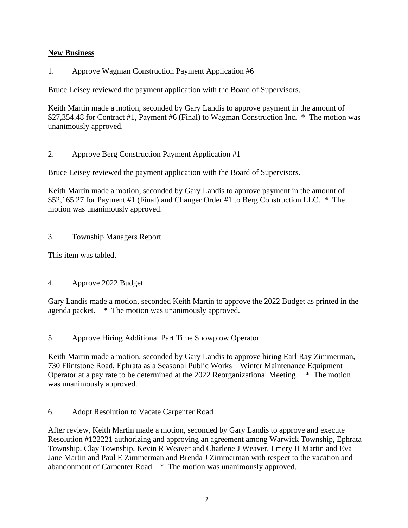## **New Business**

1. Approve Wagman Construction Payment Application #6

Bruce Leisey reviewed the payment application with the Board of Supervisors.

Keith Martin made a motion, seconded by Gary Landis to approve payment in the amount of \$27,354.48 for Contract #1, Payment #6 (Final) to Wagman Construction Inc. \* The motion was unanimously approved.

2. Approve Berg Construction Payment Application #1

Bruce Leisey reviewed the payment application with the Board of Supervisors.

Keith Martin made a motion, seconded by Gary Landis to approve payment in the amount of \$52,165.27 for Payment #1 (Final) and Changer Order #1 to Berg Construction LLC. \* The motion was unanimously approved.

## 3. Township Managers Report

This item was tabled.

## 4. Approve 2022 Budget

Gary Landis made a motion, seconded Keith Martin to approve the 2022 Budget as printed in the agenda packet. \* The motion was unanimously approved.

5. Approve Hiring Additional Part Time Snowplow Operator

Keith Martin made a motion, seconded by Gary Landis to approve hiring Earl Ray Zimmerman, 730 Flintstone Road, Ephrata as a Seasonal Public Works – Winter Maintenance Equipment Operator at a pay rate to be determined at the 2022 Reorganizational Meeting. \* The motion was unanimously approved.

6. Adopt Resolution to Vacate Carpenter Road

After review, Keith Martin made a motion, seconded by Gary Landis to approve and execute Resolution #122221 authorizing and approving an agreement among Warwick Township, Ephrata Township, Clay Township, Kevin R Weaver and Charlene J Weaver, Emery H Martin and Eva Jane Martin and Paul E Zimmerman and Brenda J Zimmerman with respect to the vacation and abandonment of Carpenter Road. \* The motion was unanimously approved.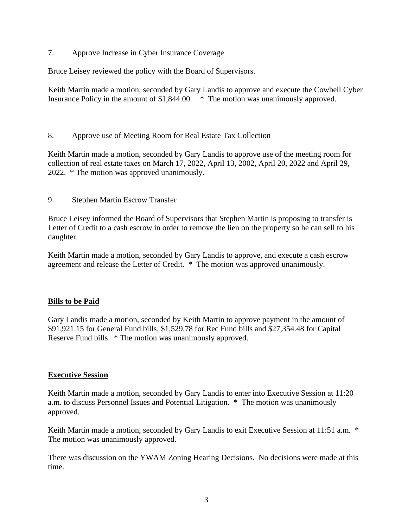7. Approve Increase in Cyber Insurance Coverage

Bruce Leisey reviewed the policy with the Board of Supervisors.

Keith Martin made a motion, seconded by Gary Landis to approve and execute the Cowbell Cyber Insurance Policy in the amount of \$1,844.00. \* The motion was unanimously approved.

8. Approve use of Meeting Room for Real Estate Tax Collection

Keith Martin made a motion, seconded by Gary Landis to approve use of the meeting room for collection of real estate taxes on March 17, 2022, April 13, 2002, April 20, 2022 and April 29, 2022. \* The motion was approved unanimously.

9. Stephen Martin Escrow Transfer

Bruce Leisey informed the Board of Supervisors that Stephen Martin is proposing to transfer is Letter of Credit to a cash escrow in order to remove the lien on the property so he can sell to his daughter.

Keith Martin made a motion, seconded by Gary Landis to approve, and execute a cash escrow agreement and release the Letter of Credit. \* The motion was approved unanimously.

## **Bills to be Paid**

Gary Landis made a motion, seconded by Keith Martin to approve payment in the amount of \$91,921.15 for General Fund bills, \$1,529.78 for Rec Fund bills and \$27,354.48 for Capital Reserve Fund bills. \* The motion was unanimously approved.

#### **Executive Session**

Keith Martin made a motion, seconded by Gary Landis to enter into Executive Session at 11:20 a.m. to discuss Personnel Issues and Potential Litigation. \* The motion was unanimously approved.

Keith Martin made a motion, seconded by Gary Landis to exit Executive Session at 11:51 a.m. \* The motion was unanimously approved.

There was discussion on the YWAM Zoning Hearing Decisions. No decisions were made at this time.